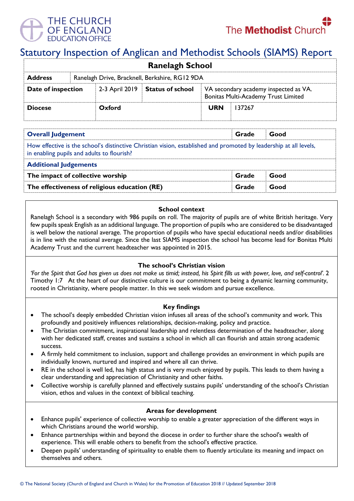

# Statutory Inspection of Anglican and Methodist Schools (SIAMS) Report

| <b>Ranelagh School</b>                                           |  |        |                                 |                                                                              |        |  |  |
|------------------------------------------------------------------|--|--------|---------------------------------|------------------------------------------------------------------------------|--------|--|--|
| Ranelagh Drive, Bracknell, Berkshire, RG12 9DA<br><b>Address</b> |  |        |                                 |                                                                              |        |  |  |
| Date of inspection                                               |  |        | 2-3 April 2019 Status of school | VA secondary academy inspected as VA.<br>Bonitas Multi-Academy Trust Limited |        |  |  |
| <b>Diocese</b>                                                   |  | Oxford |                                 | <b>URN</b>                                                                   | 137267 |  |  |

| <b>Overall Judgement</b>                                                                                                                                        | Grade | Good |  |  |  |  |
|-----------------------------------------------------------------------------------------------------------------------------------------------------------------|-------|------|--|--|--|--|
| How effective is the school's distinctive Christian vision, established and promoted by leadership at all levels,<br>in enabling pupils and adults to flourish? |       |      |  |  |  |  |
| <b>Additional Judgements</b>                                                                                                                                    |       |      |  |  |  |  |
| The impact of collective worship                                                                                                                                | Grade | Good |  |  |  |  |
| The effectiveness of religious education (RE)                                                                                                                   | Grade | Good |  |  |  |  |

### **School context**

Ranelagh School is a secondary with 986 pupils on roll. The majority of pupils are of white British heritage. Very few pupils speak English as an additional language. The proportion of pupils who are considered to be disadvantaged is well below the national average. The proportion of pupils who have special educational needs and/or disabilities is in line with the national average. Since the last SIAMS inspection the school has become lead for Bonitas Multi Academy Trust and the current headteacher was appointed in 2015.

# **The school's Christian vision**

*'For the Spirit that God has given us does not make us timid; instead, his Spirit fills us with power, love, and self-control'.* 2 Timothy 1:7 At the heart of our distinctive culture is our commitment to being a dynamic learning community, rooted in Christianity, where people matter. In this we seek wisdom and pursue excellence.

#### **Key findings**

- The school's deeply embedded Christian vision infuses all areas of the school's community and work. This profoundly and positively influences relationships, decision-making, policy and practice.
- The Christian commitment, inspirational leadership and relentless determination of the headteacher, along with her dedicated staff, creates and sustains a school in which all can flourish and attain strong academic success.
- A firmly held commitment to inclusion, support and challenge provides an environment in which pupils are individually known, nurtured and inspired and where all can thrive.
- RE in the school is well led, has high status and is very much enjoyed by pupils. This leads to them having a clear understanding and appreciation of Christianity and other faiths.
- Collective worship is carefully planned and effectively sustains pupils' understanding of the school's Christian vision, ethos and values in the context of biblical teaching.

#### **Areas for development**

- Enhance pupils' experience of collective worship to enable a greater appreciation of the different ways in which Christians around the world worship.
- Enhance partnerships within and beyond the diocese in order to further share the school's wealth of experience. This will enable others to benefit from the school's effective practice.
- Deepen pupils' understanding of spirituality to enable them to fluently articulate its meaning and impact on themselves and others.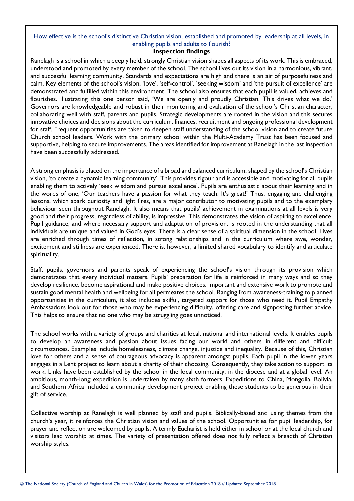# How effective is the school's distinctive Christian vision, established and promoted by leadership at all levels, in enabling pupils and adults to flourish?

### **Inspection findings**

Ranelagh is a school in which a deeply held, strongly Christian vision shapes all aspects of its work. This is embraced, understood and promoted by every member of the school. The school lives out its vision in a harmonious, vibrant, and successful learning community. Standards and expectations are high and there is an air of purposefulness and calm. Key elements of the school's vision, 'love', 'self-control', 'seeking wisdom' and 'the pursuit of excellence' are demonstrated and fulfilled within this environment. The school also ensures that each pupil is valued, achieves and flourishes. Illustrating this one person said, 'We are openly and proudly Christian. This drives what we do.' Governors are knowledgeable and robust in their monitoring and evaluation of the school's Christian character, collaborating well with staff, parents and pupils. Strategic developments are rooted in the vision and this secures innovative choices and decisions about the curriculum, finances, recruitment and ongoing professional development for staff. Frequent opportunities are taken to deepen staff understanding of the school vision and to create future Church school leaders. Work with the primary school within the Multi-Academy Trust has been focused and supportive, helping to secure improvements. The areas identified for improvement at Ranelagh in the last inspection have been successfully addressed.

A strong emphasis is placed on the importance of a broad and balanced curriculum, shaped by the school's Christian vision, 'to create a dynamic learning community'. This provides rigour and is accessible and motivating for all pupils enabling them to actively 'seek wisdom and pursue excellence'. Pupils are enthusiastic about their learning and in the words of one, 'Our teachers have a passion for what they teach. It's great!' Thus, engaging and challenging lessons, which spark curiosity and light fires, are a major contributor to motivating pupils and to the exemplary behaviour seen throughout Ranelagh. It also means that pupils' achievement in examinations at all levels is very good and their progress, regardless of ability, is impressive. This demonstrates the vision of aspiring to excellence. Pupil guidance, and where necessary support and adaptation of provision, is rooted in the understanding that all individuals are unique and valued in God's eyes. There is a clear sense of a spiritual dimension in the school. Lives are enriched through times of reflection, in strong relationships and in the curriculum where awe, wonder, excitement and stillness are experienced. There is, however, a limited shared vocabulary to identify and articulate spirituality.

Staff, pupils, governors and parents speak of experiencing the school's vision through its provision which demonstrates that every individual matters. Pupils' preparation for life is reinforced in many ways and so they develop resilience, become aspirational and make positive choices. Important and extensive work to promote and sustain good mental health and wellbeing for all permeates the school. Ranging from awareness-training to planned opportunities in the curriculum, it also includes skilful, targeted support for those who need it. Pupil Empathy Ambassadors look out for those who may be experiencing difficulty, offering care and signposting further advice. This helps to ensure that no one who may be struggling goes unnoticed.

The school works with a variety of groups and charities at local, national and international levels. It enables pupils to develop an awareness and passion about issues facing our world and others in different and difficult circumstances. Examples include homelessness, climate change, injustice and inequality. Because of this, Christian love for others and a sense of courageous advocacy is apparent amongst pupils. Each pupil in the lower years engages in a Lent project to learn about a charity of their choosing. Consequently, they take action to support its work. Links have been established by the school in the local community, in the diocese and at a global level. An ambitious, month-long expedition is undertaken by many sixth formers. Expeditions to China, Mongolia, Bolivia, and Southern Africa included a community development project enabling these students to be generous in their gift of service.

Collective worship at Ranelagh is well planned by staff and pupils. Biblically-based and using themes from the church's year, it reinforces the Christian vision and values of the school. Opportunities for pupil leadership, for prayer and reflection are welcomed by pupils. A termly Eucharist is held either in school or at the local church and visitors lead worship at times. The variety of presentation offered does not fully reflect a breadth of Christian worship styles.